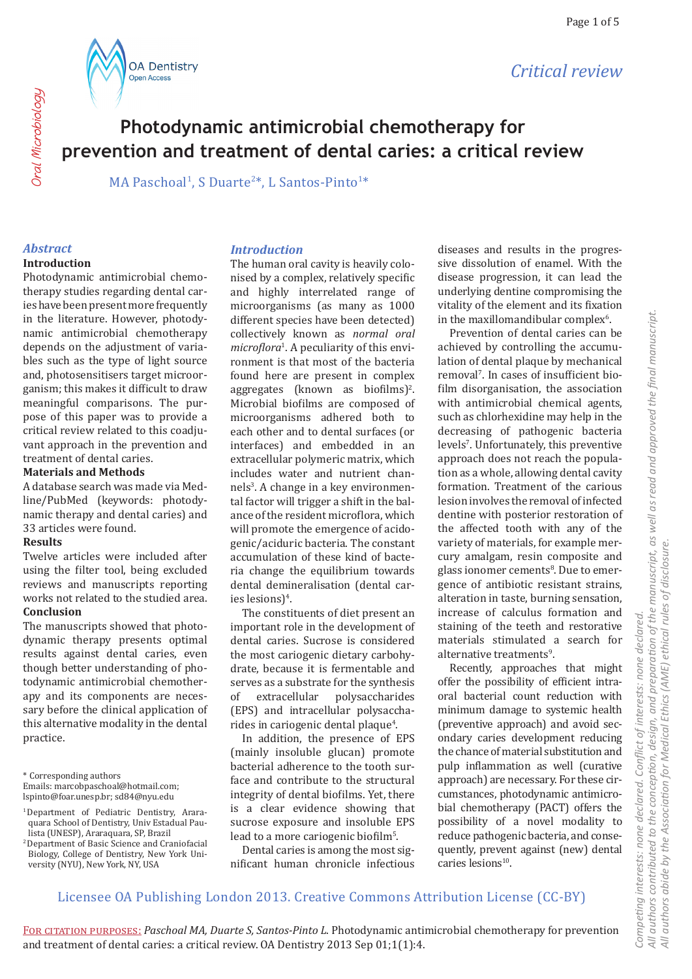



**Oral Microbiology** Oral Microbiology

# **Photodynamic antimicrobial chemotherapy for prevention and treatment of dental caries: a critical review**

MA Paschoal<sup>1</sup>, S Duarte<sup>2\*</sup>, L Santos-Pinto<sup>1\*</sup>

# *Abstract*

#### **Introduction**

Photodynamic antimicrobial chemotherapy studies regarding dental caries have been present more frequently in the literature. However, photodynamic antimicrobial chemotherapy depends on the adjustment of variables such as the type of light source and, photosensitisers target microorganism; this makes it difficult to draw meaningful comparisons. The purpose of this paper was to provide a critical review related to this coadjuvant approach in the prevention and treatment of dental caries.

#### **Materials and Methods**

A database search was made via Medline/PubMed (keywords: photodynamic therapy and dental caries) and 33 articles were found.

#### **Results**

Twelve articles were included after using the filter tool, being excluded reviews and manuscripts reporting works not related to the studied area. **Conclusion**

The manuscripts showed that photodynamic therapy presents optimal results against dental caries, even though better understanding of photodynamic antimicrobial chemotherapy and its components are necessary before the clinical application of this alternative modality in the dental practice.

\* Corresponding authors

- 1 Department of Pediatric Dentistry, Araraquara School of Dentistry, Univ Estadual Paulista (UNESP), Araraquara, SP, Brazil
- 2 Department of Basic Science and Craniofacial Biology, College of Dentistry, New York University (NYU), New York, NY, USA

#### *Introduction*

The human oral cavity is heavily colonised by a complex, relatively specific and highly interrelated range of microorganisms (as many as 1000 different species have been detected) collectively known as *normal oral microflora*<sup>1</sup> . A peculiarity of this environment is that most of the bacteria found here are present in complex  $\frac{1}{2}$  aggregates (known as biofilms)<sup>2</sup>. Microbial biofilms are composed of microorganisms adhered both to each other and to dental surfaces (or interfaces) and embedded in an extracellular polymeric matrix, which includes water and nutrient channels<sup>3</sup>. A change in a key environmental factor will trigger a shift in the balance of the resident microflora, which will promote the emergence of acidogenic/aciduric bacteria. The constant accumulation of these kind of bacteria change the equilibrium towards dental demineralisation (dental caries lesions)<sup>4</sup>.

The constituents of diet present an important role in the development of dental caries. Sucrose is considered the most cariogenic dietary carbohydrate, because it is fermentable and serves as a substrate for the synthesis<br>of extracellular polysaccharides of extracellular polysaccharides (EPS) and intracellular polysaccharides in cariogenic dental plaque<sup>4</sup>.

In addition, the presence of EPS (mainly insoluble glucan) promote bacterial adherence to the tooth surface and contribute to the structural integrity of dental biofilms. Yet, there is a clear evidence showing that sucrose exposure and insoluble EPS lead to a more cariogenic biofilm<sup>5</sup>.

Dental caries is among the most significant human chronicle infectious diseases and results in the progressive dissolution of enamel. With the disease progression, it can lead the underlying dentine compromising the vitality of the element and its fixation in the maxillomandibular complex $\delta$ .

Prevention of dental caries can be achieved by controlling the accumulation of dental plaque by mechanical removal<sup>7</sup>. In cases of insufficient biofilm disorganisation, the association with antimicrobial chemical agents, such as chlorhexidine may help in the decreasing of pathogenic bacteria levels<sup>7</sup> . Unfortunately, this preventive approach does not reach the population as a whole, allowing dental cavity formation. Treatment of the carious lesion involves the removal of infected dentine with posterior restoration of the affected tooth with any of the variety of materials, for example mercury amalgam, resin composite and glass ionomer cements<sup>8</sup>. Due to emergence of antibiotic resistant strains, alteration in taste, burning sensation, increase of calculus formation and staining of the teeth and restorative materials stimulated a search for alternative treatments<sup>9</sup>.

Recently, approaches that might offer the possibility of efficient intraoral bacterial count reduction with minimum damage to systemic health (preventive approach) and avoid secondary caries development reducing the chance of material substitution and pulp inflammation as well (curative approach) are necessary. For these circumstances, photodynamic antimicrobial chemotherapy (PACT) offers the possibility of a novel modality to reduce pathogenic bacteria, and consequently, prevent against (new) dental caries lesions<sup>10</sup>.

*Competing interests: none declared. Conflict of interests: none declared.* 

Competing interests: none declared.

Conflict of interests: none declared.

# Licensee OA Publishing London 2013. Creative Commons Attribution License (CC-BY)

Emails: marcobpaschoal@hotmail.com; lspinto@foar.unesp.br; sd84@nyu.edu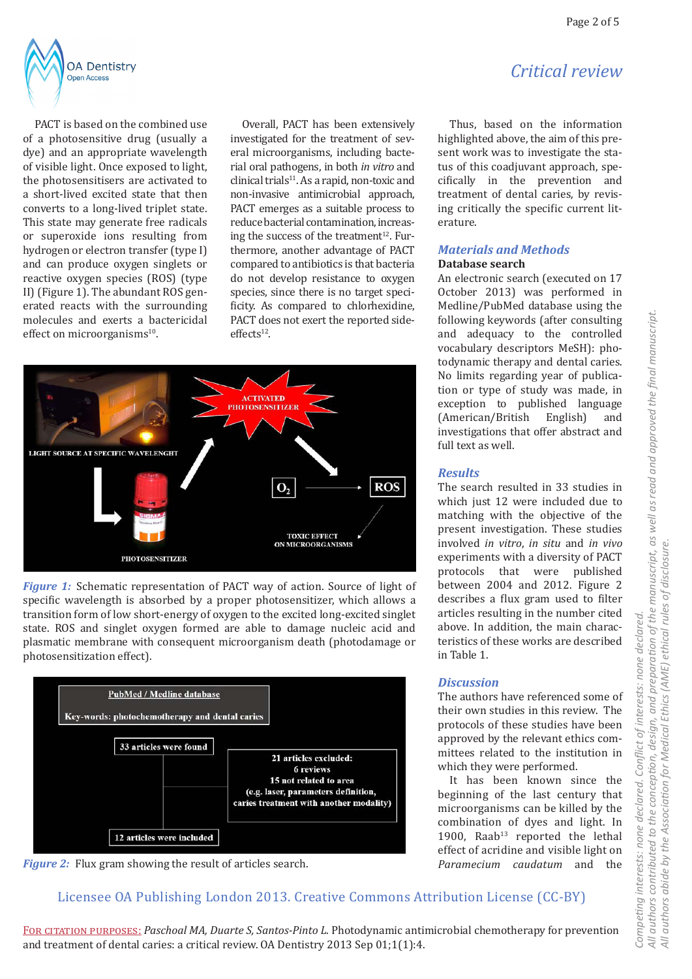*Critical review*



PACT is based on the combined use of a photosensitive drug (usually a dye) and an appropriate wavelength of visible light. Once exposed to light, the photosensitisers are activated to a short-lived excited state that then converts to a long-lived triplet state. This state may generate free radicals or superoxide ions resulting from hydrogen or electron transfer (type I) and can produce oxygen singlets or reactive oxygen species (ROS) (type II) (Figure 1). The abundant ROS generated reacts with the surrounding molecules and exerts a bactericidal effect on microorganisms<sup>10</sup>.

Overall, PACT has been extensively investigated for the treatment of several microorganisms, including bacterial oral pathogens, in both *in vitro* and  $clinical trials<sup>11</sup>$ . As a rapid, non-toxic and non-invasive antimicrobial approach, PACT emerges as a suitable process to reduce bacterial contamination, increasing the success of the treatment $12$ . Furthermore, another advantage of PACT compared to antibiotics is that bacteria do not develop resistance to oxygen species, since there is no target specificity. As compared to chlorhexidine, PACT does not exert the reported side $effects<sup>12</sup>$ .



*Figure 1:* Schematic representation of PACT way of action. Source of light of specific wavelength is absorbed by a proper photosensitizer, which allows a transition form of low short-energy of oxygen to the excited long-excited singlet state. ROS and singlet oxygen formed are able to damage nucleic acid and plasmatic membrane with consequent microorganism death (photodamage or photosensitization effect).





Licensee OA Publishing London 2013. Creative Commons Attribution License (CC-BY)

Thus, based on the information highlighted above, the aim of this present work was to investigate the status of this coadjuvant approach, specifically in the prevention and treatment of dental caries, by revising critically the specific current literature.

#### *Materials and Methods* **Database search**

An electronic search (executed on 17 October 2013) was performed in Medline/PubMed database using the following keywords (after consulting and adequacy to the controlled vocabulary descriptors MeSH): photodynamic therapy and dental caries. No limits regarding year of publication or type of study was made, in exception to published language<br>(American/British English) and (American/British investigations that offer abstract and full text as well.

#### *Results*

The search resulted in 33 studies in which just 12 were included due to matching with the objective of the present investigation. These studies involved *in vitro*, *in situ* and *in vivo* experiments with a diversity of PACT protocols that were published between 2004 and 2012. Figure 2 describes a flux gram used to filter articles resulting in the number cited above. In addition, the main characteristics of these works are described in Table 1.

#### *Discussion*

The authors have referenced some of their own studies in this review. The protocols of these studies have been approved by the relevant ethics committees related to the institution in which they were performed.

It has been known since the beginning of the last century that microorganisms can be killed by the combination of dyes and light. In 1900, Raab<sup>13</sup> reported the lethal effect of acridine and visible light on *Paramecium caudatum* and the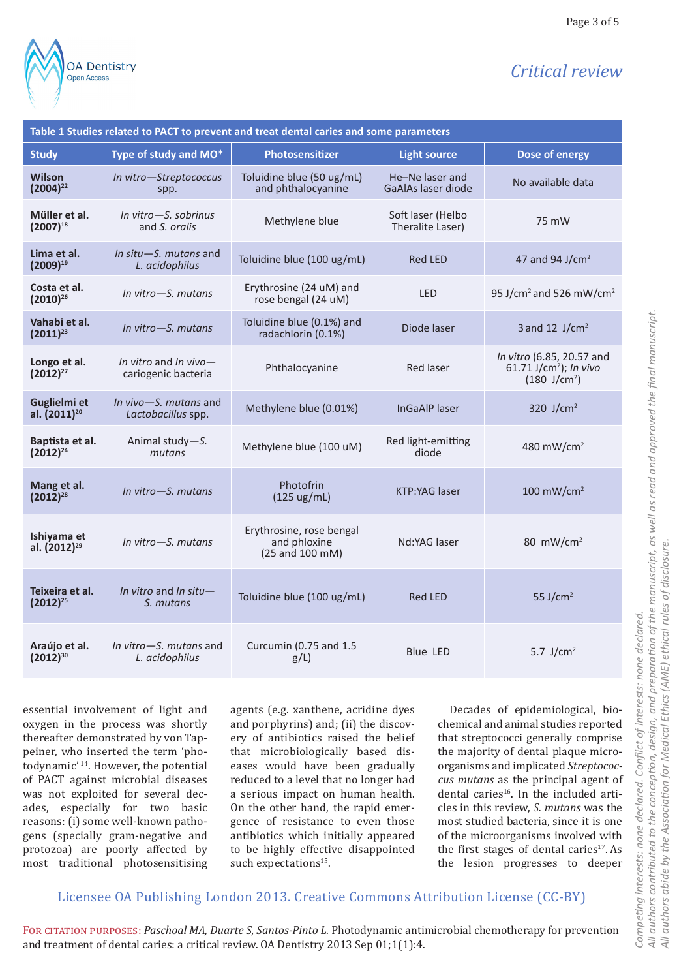

# *Critical review*

Page 3 of 5

| Table 1 Studies related to PACT to prevent and treat dental caries and some parameters |                                                 |                                                             |                                       |                                                                                 |
|----------------------------------------------------------------------------------------|-------------------------------------------------|-------------------------------------------------------------|---------------------------------------|---------------------------------------------------------------------------------|
| <b>Study</b>                                                                           | Type of study and MO*                           | Photosensitizer                                             | <b>Light source</b>                   | Dose of energy                                                                  |
| <b>Wilson</b><br>$(2004)^{22}$                                                         | In vitro-Streptococcus<br>spp.                  | Toluidine blue (50 ug/mL)<br>and phthalocyanine             | He-Ne laser and<br>GaAlAs laser diode | No available data                                                               |
| Müller et al.<br>$(2007)^{18}$                                                         | In vitro-S. sobrinus<br>and S. orglis           | Methylene blue                                              | Soft laser (Helbo<br>Theralite Laser) | 75 mW                                                                           |
| Lima et al.<br>$(2009)^{19}$                                                           | In situ-S. mutans and<br>L. acidophilus         | Toluidine blue (100 ug/mL)                                  | <b>Red LED</b>                        | 47 and 94 J/cm <sup>2</sup>                                                     |
| Costa et al.<br>$(2010)^{26}$                                                          | In vitro $-S$ , mutans                          | Erythrosine (24 uM) and<br>rose bengal (24 uM)              | <b>LED</b>                            | 95 J/cm <sup>2</sup> and 526 mW/cm <sup>2</sup>                                 |
| Vahabi et al.<br>$(2011)^{23}$                                                         | In vitro-S. mutans                              | Toluidine blue (0.1%) and<br>radachlorin (0.1%)             | Diode laser                           | 3 and 12 $J/cm2$                                                                |
| Longo et al.<br>$(2012)^{27}$                                                          | In vitro and In vivo $-$<br>cariogenic bacteria | Phthalocyanine                                              | <b>Red laser</b>                      | In vitro (6.85, 20.57 and<br>61.71 $J/cm2$ ); In vivo<br>$(180 \text{ J/cm}^2)$ |
| Guglielmi et<br>al. (2011) <sup>20</sup>                                               | In vivo $-S$ , mutans and<br>Lactobacillus spp. | Methylene blue (0.01%)                                      | <b>InGaAlP</b> laser                  | 320 J/cm <sup>2</sup>                                                           |
| Baptista et al.<br>$(2012)^{24}$                                                       | Animal study-S.<br>mutans                       | Methylene blue (100 uM)                                     | Red light-emitting<br>diode           | 480 mW/cm <sup>2</sup>                                                          |
| Mang et al.<br>$(2012)^{28}$                                                           | In vitro-S. mutans                              | Photofrin<br>$(125 \text{ ug/mL})$                          | <b>KTP:YAG laser</b>                  | $100$ mW/cm <sup>2</sup>                                                        |
| Ishiyama et<br>al. (2012) <sup>29</sup>                                                | In vitro-S. mutans                              | Erythrosine, rose bengal<br>and phloxine<br>(25 and 100 mM) | Nd:YAG laser                          | 80 mW/cm <sup>2</sup>                                                           |
| Teixeira et al.<br>$(2012)^{25}$                                                       | In vitro and In situ-<br>S. mutans              | Toluidine blue (100 ug/mL)                                  | <b>Red LED</b>                        | 55 J/cm <sup>2</sup>                                                            |
| Araújo et al.<br>$(2012)^{30}$                                                         | In vitro-S. mutans and<br>L. acidophilus        | Curcumin (0.75 and 1.5<br>$g/L$ )                           | <b>Blue LED</b>                       | 5.7 $J/cm2$                                                                     |

essential involvement of light and oxygen in the process was shortly thereafter demonstrated by von Tappeiner, who inserted the term 'photodynamic' 14. However, the potential of PACT against microbial diseases was not exploited for several decades, especially for two basic reasons: (i) some well-known pathogens (specially gram-negative and protozoa) are poorly affected by most traditional photosensitising

agents (e.g. xanthene, acridine dyes and porphyrins) and; (ii) the discovery of antibiotics raised the belief that microbiologically based diseases would have been gradually reduced to a level that no longer had a serious impact on human health. On the other hand, the rapid emergence of resistance to even those antibiotics which initially appeared to be highly effective disappointed such expectations<sup>15</sup>.

Decades of epidemiological, biochemical and animal studies reported that streptococci generally comprise the majority of dental plaque microorganisms and implicated *Streptococcus mutans* as the principal agent of dental caries<sup>16</sup>. In the included articles in this review, *S. mutans* was the most studied bacteria, since it is one of the microorganisms involved with the first stages of dental caries<sup>17</sup>. As the lesion progresses to deeper

## Licensee OA Publishing London 2013. Creative Commons Attribution License (CC-BY)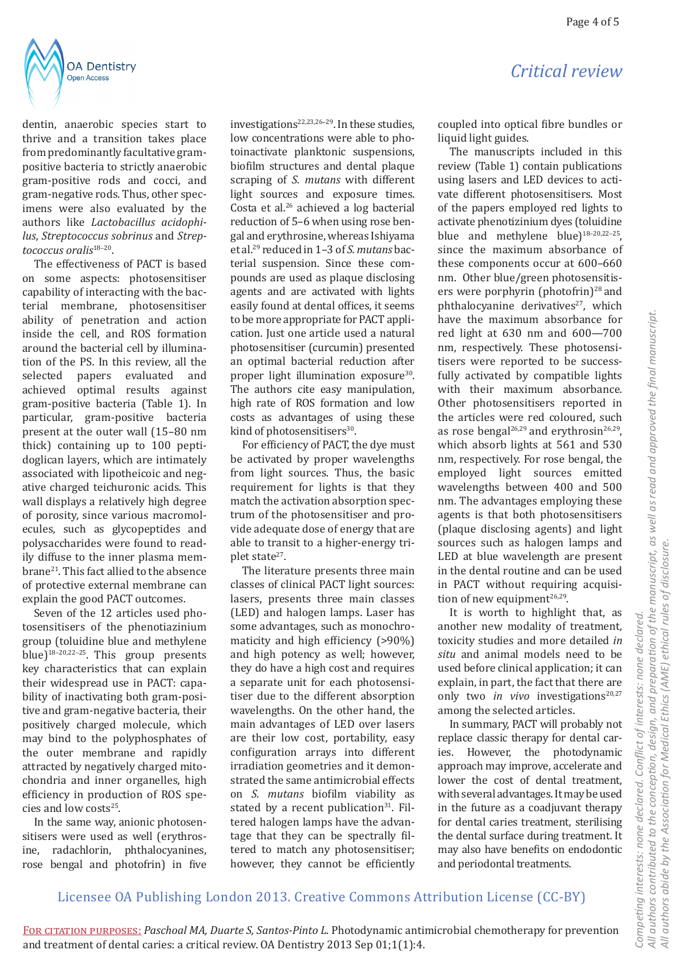

dentin, anaerobic species start to thrive and a transition takes place from predominantly facultative grampositive bacteria to strictly anaerobic gram-positive rods and cocci, and gram-negative rods. Thus, other specimens were also evaluated by the authors like *Lactobacillus acidophilus*, *Streptococcus sobrinus* and *Streptococcus oralis*18–20.

The effectiveness of PACT is based on some aspects: photosensitiser capability of interacting with the bacterial membrane, photosensitiser ability of penetration and action inside the cell, and ROS formation around the bacterial cell by illumination of the PS. In this review, all the selected papers evaluated and achieved optimal results against gram-positive bacteria (Table 1). In particular, gram-positive bacteria present at the outer wall (15–80 nm thick) containing up to 100 peptidoglican layers, which are intimately associated with lipotheicoic and negative charged teichuronic acids. This wall displays a relatively high degree of porosity, since various macromolecules, such as glycopeptides and polysaccharides were found to readily diffuse to the inner plasma membrane21. This fact allied to the absence of protective external membrane can explain the good PACT outcomes.

Seven of the 12 articles used photosensitisers of the phenotiazinium group (toluidine blue and methylene blue)18–20,22–25. This group presents key characteristics that can explain their widespread use in PACT: capability of inactivating both gram-positive and gram-negative bacteria, their positively charged molecule, which may bind to the polyphosphates of the outer membrane and rapidly attracted by negatively charged mitochondria and inner organelles, high efficiency in production of ROS species and low costs<sup>25</sup>.

In the same way, anionic photosensitisers were used as well (erythrosine, radachlorin, phthalocyanines, rose bengal and photofrin) in five investigations $22,23,26-29$ . In these studies. low concentrations were able to photoinactivate planktonic suspensions, biofilm structures and dental plaque scraping of *S. mutans* with different light sources and exposure times. Costa et al.26 achieved a log bacterial reduction of 5–6 when using rose bengal and erythrosine, whereas Ishiyama et al.29 reduced in 1–3 of *S. mutans* bacterial suspension. Since these compounds are used as plaque disclosing agents and are activated with lights easily found at dental offices, it seems to be more appropriate for PACT application. Just one article used a natural photosensitiser (curcumin) presented an optimal bacterial reduction after proper light illumination exposure<sup>30</sup>. The authors cite easy manipulation, high rate of ROS formation and low costs as advantages of using these kind of photosensitisers $30$ .

For efficiency of PACT, the dye must be activated by proper wavelengths from light sources. Thus, the basic requirement for lights is that they match the activation absorption spectrum of the photosensitiser and provide adequate dose of energy that are able to transit to a higher-energy triplet state<sup>27</sup>.

The literature presents three main classes of clinical PACT light sources: lasers, presents three main classes (LED) and halogen lamps. Laser has some advantages, such as monochromaticity and high efficiency (>90%) and high potency as well; however, they do have a high cost and requires a separate unit for each photosensitiser due to the different absorption wavelengths. On the other hand, the main advantages of LED over lasers are their low cost, portability, easy configuration arrays into different irradiation geometries and it demonstrated the same antimicrobial effects on *S. mutans* biofilm viability as stated by a recent publication $31$ . Filtered halogen lamps have the advantage that they can be spectrally filtered to match any photosensitiser; however, they cannot be efficiently coupled into optical fibre bundles or liquid light guides.

The manuscripts included in this review (Table 1) contain publications using lasers and LED devices to activate different photosensitisers. Most of the papers employed red lights to activate phenotizinium dyes (toluidine blue and methylene blue) $18-20,22-25$ , since the maximum absorbance of these components occur at 600–660 nm. Other blue/green photosensitisers were porphyrin (photofrin)<sup>28</sup> and phthalocyanine derivatives<sup>27</sup>, which have the maximum absorbance for red light at 630 nm and 600—700 nm, respectively. These photosensitisers were reported to be successfully activated by compatible lights with their maximum absorbance. Other photosensitisers reported in the articles were red coloured, such as rose bengal<sup>26,29</sup> and erythrosin<sup>26,29</sup>, which absorb lights at 561 and 530 nm, respectively. For rose bengal, the employed light sources emitted wavelengths between 400 and 500 nm. The advantages employing these agents is that both photosensitisers (plaque disclosing agents) and light sources such as halogen lamps and LED at blue wavelength are present in the dental routine and can be used in PACT without requiring acquisition of new equipment<sup>26,29</sup>.

It is worth to highlight that, as another new modality of treatment, toxicity studies and more detailed *in situ* and animal models need to be used before clinical application; it can explain, in part, the fact that there are only two *in vivo* investigations<sup>20,27</sup> among the selected articles.

In summary, PACT will probably not replace classic therapy for dental caries. However, the photodynamic approach may improve, accelerate and lower the cost of dental treatment, with several advantages. It may be used in the future as a coadjuvant therapy for dental caries treatment, sterilising the dental surface during treatment. It may also have benefits on endodontic and periodontal treatments.

### Licensee OA Publishing London 2013. Creative Commons Attribution License (CC-BY)